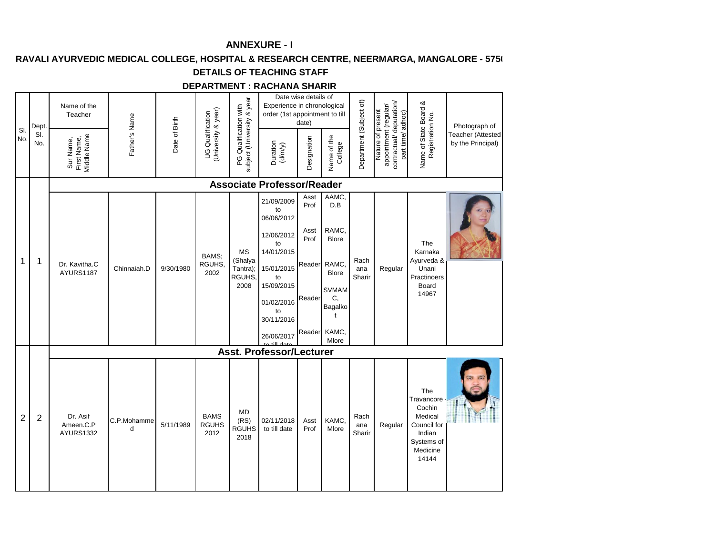## RAVALI AYURVEDIC MEDICAL COLLEGE, HOSPITAL & RESEARCH CENTRE, NEERMARGA, MANGALORE - 5750

#### **DETAILS OF TEACHING STAFF**

#### **DEPARTMENT : RACHANA SHARIR**

| SI.<br>No.     | Dept.<br>SI.<br>No. | Name of the<br>Teacher<br>Middle Name<br>Sur Name,<br>First Name, | Father's Name    | Date of Birth | (University & year)<br><b>UG</b> Qualification | subject (University & year<br>PG Qualification with | Experience in chronological<br>order (1st appointment to till<br>Duration<br>$(d/m/y)$                                                                             | Date wise details of<br>date)<br>Designation     | Name of the<br>College                                                                                                       | Department (Subject of) | contractual/deputation/<br>appointment (regular/<br>Nature of present<br>part time/adhoc) | Name of State Board &<br>Registration No.                                                          | Photograph of<br>Teacher (Attested<br>by the Principal) |
|----------------|---------------------|-------------------------------------------------------------------|------------------|---------------|------------------------------------------------|-----------------------------------------------------|--------------------------------------------------------------------------------------------------------------------------------------------------------------------|--------------------------------------------------|------------------------------------------------------------------------------------------------------------------------------|-------------------------|-------------------------------------------------------------------------------------------|----------------------------------------------------------------------------------------------------|---------------------------------------------------------|
|                |                     |                                                                   |                  |               |                                                |                                                     | <b>Associate Professor/Reader</b>                                                                                                                                  |                                                  |                                                                                                                              |                         |                                                                                           |                                                                                                    |                                                         |
| 1              | 1                   | Dr. Kavitha.C<br>AYURS1187                                        | Chinnaiah.D      | 9/30/1980     | BAMS:<br>RGUHS,<br>2002                        | <b>MS</b><br>(Shalya<br>Tantra);<br>RGUHS<br>2008   | 21/09/2009<br>to<br>06/06/2012<br>12/06/2012<br>to<br>14/01/2015<br>15/01/2015<br>to<br>15/09/2015<br>01/02/2016<br>to<br>30/11/2016<br>26/06/2017<br>to till dote | Asst<br>Prof<br>Asst<br>Prof<br>Reader<br>Reader | AAMC<br>D.B<br>RAMC.<br><b>Blore</b><br>RAMC,<br><b>Blore</b><br><b>SVMAM</b><br>C,<br>Bagalko<br>t<br>Reader KAMC,<br>Mlore | Rach<br>ana<br>Sharir   | Regular                                                                                   | The<br>Karnaka<br>Ayurveda &<br>Unani<br>Practinoers<br>Board<br>14967                             |                                                         |
|                |                     |                                                                   |                  |               |                                                |                                                     | <b>Asst. Professor/Lecturer</b>                                                                                                                                    |                                                  |                                                                                                                              |                         |                                                                                           |                                                                                                    |                                                         |
| $\overline{2}$ | $\overline{2}$      | Dr. Asif<br>Ameen.C.P<br><b>AYURS1332</b>                         | C.P.Mohamme<br>d | 5/11/1989     | <b>BAMS</b><br><b>RGUHS</b><br>2012            | <b>MD</b><br>(RS)<br><b>RGUHS</b><br>2018           | 02/11/2018<br>to till date                                                                                                                                         | Asst<br>Prof                                     | KAMC.<br>Mlore                                                                                                               | Rach<br>ana<br>Sharir   | Regular                                                                                   | The<br>Travancore<br>Cochin<br>Medical<br>Council for<br>Indian<br>Systems of<br>Medicine<br>14144 |                                                         |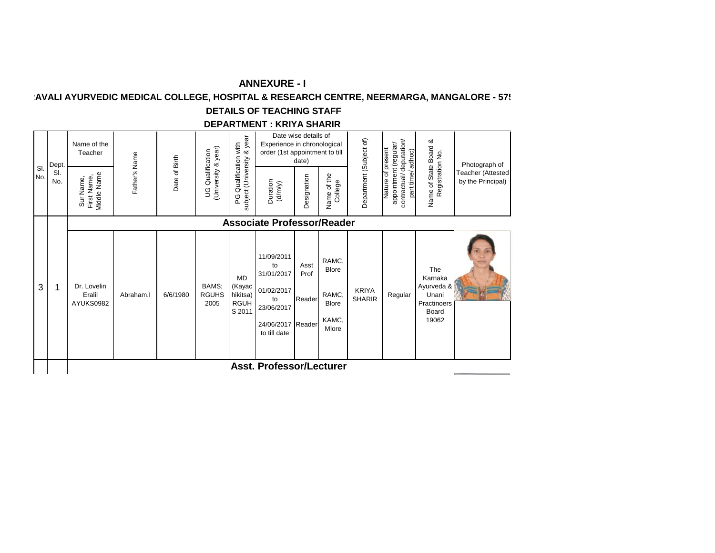# **KAVALI AYURVEDIC MEDICAL COLLEGE, HOSPITAL & RESEARCH CENTRE, NEERMARGA, MANGALORE - 575**

# **DETAILS OF TEACHING STAFF**

#### **DEPARTMENT : KRIYA SHARIR**

|            | Dept.      | Name of the<br>Teacher                  |               |               |                                         | & year                                                   | Experience in chronological<br>order (1st appointment to till                                         | Date wise details of<br>date) |                                                                  |                               | adhoc)                                                                              |                                                                        | Photograph of                          |
|------------|------------|-----------------------------------------|---------------|---------------|-----------------------------------------|----------------------------------------------------------|-------------------------------------------------------------------------------------------------------|-------------------------------|------------------------------------------------------------------|-------------------------------|-------------------------------------------------------------------------------------|------------------------------------------------------------------------|----------------------------------------|
| SI.<br>No. | SI.<br>No. | Middle Name<br>First Name,<br>Sur Name, | Father's Name | Date of Birth | (University & year)<br>UG Qualification | Qualification with<br>subject (University<br>ပ္စ         | Duration<br>(d/m/y)                                                                                   | Designation                   | of the<br>College<br>Name                                        | Department (Subject of)       | contractual/deputation/<br>appointment (regular/<br>Nature of present<br>part time/ | Name of State Board &<br>Registration No.                              | Teacher (Attested<br>by the Principal) |
|            |            |                                         |               |               |                                         |                                                          | <b>Associate Professor/Reader</b>                                                                     |                               |                                                                  |                               |                                                                                     |                                                                        |                                        |
| 3          | 1          | Dr. Lovelin<br>Eralil<br>AYUKS0982      | Abraham.      | 6/6/1980      | BAMS;<br><b>RGUHS</b><br>2005           | <b>MD</b><br>(Kayac<br>hikitsa)<br><b>RGUH</b><br>S 2011 | 11/09/2011<br>to<br>31/01/2017<br>01/02/2017<br>to<br>23/06/2017<br>24/06/2017 Reader<br>to till date | Asst<br>Prof<br>Reader        | RAMC,<br><b>Blore</b><br>RAMC,<br><b>Blore</b><br>KAMC,<br>Mlore | <b>KRIYA</b><br><b>SHARIR</b> | Regular                                                                             | The<br>Karnaka<br>Ayurveda &<br>Unani<br>Practinoers<br>Board<br>19062 |                                        |
|            |            |                                         |               |               |                                         |                                                          | <b>Asst. Professor/Lecturer</b>                                                                       |                               |                                                                  |                               |                                                                                     |                                                                        |                                        |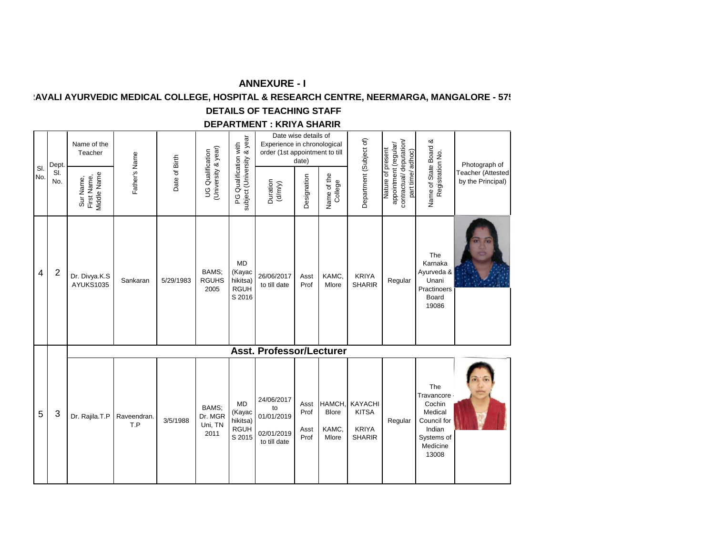# **KAVALI AYURVEDIC MEDICAL COLLEGE, HOSPITAL & RESEARCH CENTRE, NEERMARGA, MANGALORE - 575**

# **DETAILS OF TEACHING STAFF**

#### **DEPARTMENT : KRIYA SHARIR**

|            | Dept.          | Name of the<br>Teacher                  |                    |               |                                                |                                                          | Experience in chronological<br>order (1st appointment to till | Date wise details of<br>date) |                                          |                                                                 |                                                                                           |                                                                                                      | Photograph of                          |
|------------|----------------|-----------------------------------------|--------------------|---------------|------------------------------------------------|----------------------------------------------------------|---------------------------------------------------------------|-------------------------------|------------------------------------------|-----------------------------------------------------------------|-------------------------------------------------------------------------------------------|------------------------------------------------------------------------------------------------------|----------------------------------------|
| SI.<br>No. | SI.<br>No.     | First Name,<br>Middle Name<br>Sur Name, | Father's Name      | Date of Birth | (University & year)<br><b>UG</b> Qualification | subject (University & year<br>PG Qualification with      | Duration<br>$(d/m/y)$                                         | Designation                   | Name of the<br>College                   | Department (Subject of)                                         | contractual/deputation/<br>appointment (regular/<br>Nature of present<br>part time/adhoc) | Name of State Board &<br>Registration No.                                                            | Teacher (Attested<br>by the Principal) |
| 4          | $\overline{2}$ | Dr. Divya.K.S<br>AYUKS1035              | Sankaran           | 5/29/1983     | BAMS:<br><b>RGUHS</b><br>2005                  | <b>MD</b><br>(Kayac<br>hikitsa)<br><b>RGUH</b><br>S 2016 | 26/06/2017<br>to till date                                    | Asst<br>Prof                  | KAMC,<br>Mlore                           | <b>KRIYA</b><br><b>SHARIR</b>                                   | Regular                                                                                   | The<br>Karnaka<br>Ayurveda &<br>Unani<br>Practinoers<br>Board<br>19086                               |                                        |
|            |                |                                         |                    |               |                                                |                                                          | <b>Asst. Professor/Lecturer</b>                               |                               |                                          |                                                                 |                                                                                           |                                                                                                      |                                        |
| 5          | 3              | Dr. Rajila.T.P                          | Raveendran.<br>T.P | 3/5/1988      | BAMS:<br>Dr. MGR<br>Uni, TN<br>2011            | <b>MD</b><br>(Kayac<br>hikitsa)<br><b>RGUH</b><br>S 2015 | 24/06/2017<br>to<br>01/01/2019<br>02/01/2019<br>to till date  | Asst<br>Prof<br>Asst<br>Prof  | HAMCH,<br><b>Blore</b><br>KAMC,<br>Mlore | <b>KAYACHI</b><br><b>KITSA</b><br><b>KRIYA</b><br><b>SHARIR</b> | Regular                                                                                   | The<br>Travancore ·<br>Cochin<br>Medical<br>Council for<br>Indian<br>Systems of<br>Medicine<br>13008 |                                        |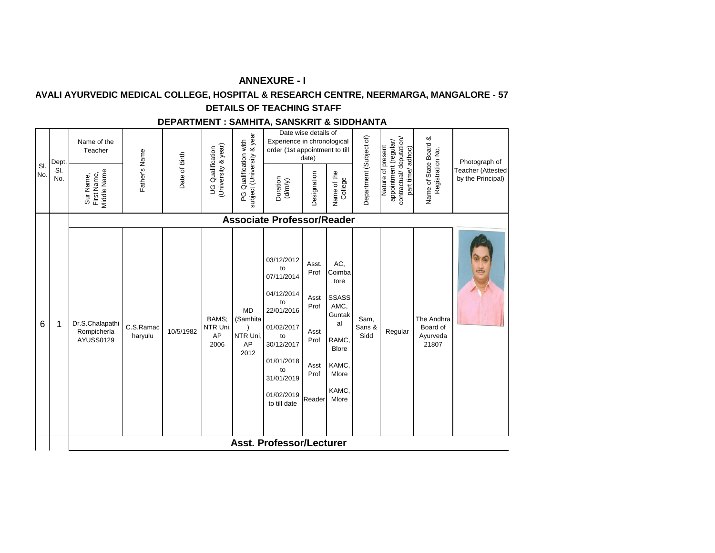## **AVALI AYURVEDIC MEDICAL COLLEGE, HOSPITAL & RESEARCH CENTRE, NEERMARGA, MANGALORE - 57**

## **DETAILS OF TEACHING STAFF**

## **DEPARTMENT : SAMHITA, SANSKRIT & SIDDHANTA**

|            | Dept       | Name of the<br>Teacher                         |                      |               |                                                |                                                     | Experience in chronological<br>order (1st appointment to till                                                                                                      | Date wise details of<br>date)                                           |                                                                                                                            |                         |                                                                                           |                                             | Photograph of                                 |
|------------|------------|------------------------------------------------|----------------------|---------------|------------------------------------------------|-----------------------------------------------------|--------------------------------------------------------------------------------------------------------------------------------------------------------------------|-------------------------------------------------------------------------|----------------------------------------------------------------------------------------------------------------------------|-------------------------|-------------------------------------------------------------------------------------------|---------------------------------------------|-----------------------------------------------|
| SI.<br>No. | SI.<br>No. | <b>Viddle Name</b><br>First Name,<br>Sur Name, | Father's Name        | Date of Birth | (University & year)<br><b>UG</b> Qualification | PG Qualification with<br>subject (University & year | Duration<br>(d/m/y)                                                                                                                                                | Designation                                                             | Name of the<br>College                                                                                                     | Department (Subject of) | contractual/deputation/<br>appointment (regular/<br>Nature of present<br>part time/adhoc) | Name of State Board &<br>Registration No.   | <b>Teacher (Attested</b><br>by the Principal) |
|            |            |                                                |                      |               |                                                |                                                     | <b>Associate Professor/Reader</b>                                                                                                                                  |                                                                         |                                                                                                                            |                         |                                                                                           |                                             |                                               |
| 6          | 1          | Dr.S.Chalapathi<br>Rompicherla<br>AYUSS0129    | C.S.Ramac<br>haryulu | 10/5/1982     | BAMS:<br>NTR Uni<br>AP<br>2006                 | <b>MD</b><br>(Samhita<br>NTR Uni,<br>AP<br>2012     | 03/12/2012<br>to<br>07/11/2014<br>04/12/2014<br>to<br>22/01/2016<br>01/02/2017<br>to<br>30/12/2017<br>01/01/2018<br>to<br>31/01/2019<br>01/02/2019<br>to till date | Asst.<br>Prof<br>Asst<br>Prof<br>Asst<br>Prof<br>Asst<br>Prof<br>Reader | AC,<br>Coimba<br>tore<br><b>SSASS</b><br>AMC,<br>Guntak<br>al<br>RAMC,<br><b>Blore</b><br>KAMC,<br>Mlore<br>KAMC,<br>Mlore | Sam,<br>Sans &<br>Sidd  | Regular                                                                                   | The Andhra<br>Board of<br>Ayurveda<br>21807 | $\ddot{\mathbb{S}}$                           |
|            |            |                                                |                      |               |                                                |                                                     | Asst. Professor/Lecturer                                                                                                                                           |                                                                         |                                                                                                                            |                         |                                                                                           |                                             |                                               |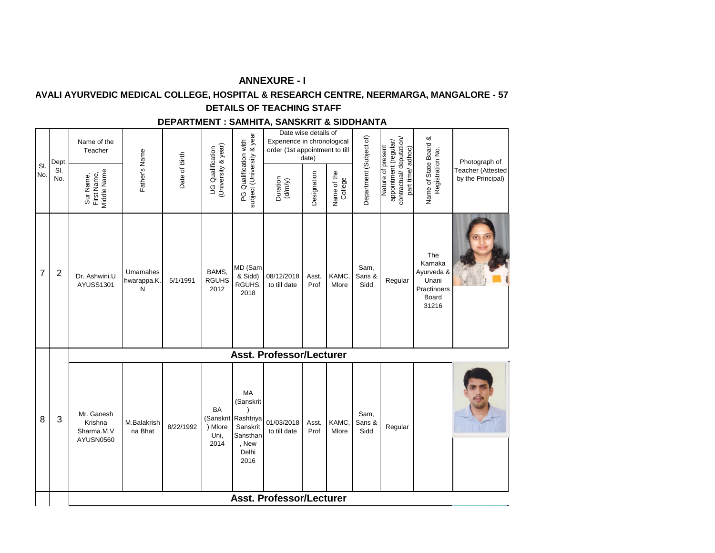## **AVALI AYURVEDIC MEDICAL COLLEGE, HOSPITAL & RESEARCH CENTRE, NEERMARGA, MANGALORE - 57**

# **DETAILS OF TEACHING STAFF**

#### **DEPARTMENT : SAMHITA, SANSKRIT & SIDDHANTA**

|                | Dept.          | Name of the<br>Teacher                           |                             |               |                                                |                                                                                          | Date wise details of<br>Experience in chronological<br>order (1st appointment to till | date)         |                        |                         |                                                                                           |                                                                        | Photograph of                          |
|----------------|----------------|--------------------------------------------------|-----------------------------|---------------|------------------------------------------------|------------------------------------------------------------------------------------------|---------------------------------------------------------------------------------------|---------------|------------------------|-------------------------|-------------------------------------------------------------------------------------------|------------------------------------------------------------------------|----------------------------------------|
| SI.<br>No.     | SI.<br>No.     | Viddle Name<br>Sur Name,<br>First Name,          | Father's Name               | Date of Birth | (University & year)<br><b>UG</b> Qualification | subject (University & year<br>PG Qualification with                                      | Duration<br>$(d/m/y)$                                                                 | Designation   | Name of the<br>College | Department (Subject of) | contractual/deputation/<br>appointment (regular/<br>Nature of present<br>part time/adhoc) | Name of State Board &<br>Registration No.                              | Teacher (Attested<br>by the Principal) |
| $\overline{7}$ | $\overline{c}$ | Dr. Ashwini.U<br>AYUSS1301                       | Umamahes<br>hwarappa.K<br>N | 5/1/1991      | BAMS,<br><b>RGUHS</b><br>2012                  | MD (Sam<br>& Sidd)<br>RGUHS,<br>2018                                                     | 08/12/2018<br>to till date                                                            | Asst.<br>Prof | KAMC,<br>Mlore         | Sam,<br>Sans &<br>Sidd  | Regular                                                                                   | The<br>Karnaka<br>Ayurveda &<br>Unani<br>Practinoers<br>Board<br>31216 |                                        |
|                |                |                                                  |                             |               |                                                |                                                                                          | <b>Asst. Professor/Lecturer</b>                                                       |               |                        |                         |                                                                                           |                                                                        |                                        |
| 8              | 3              | Mr. Ganesh<br>Krishna<br>Sharma.M.V<br>AYUSN0560 | M.Balakrish<br>na Bhat      | 8/22/1992     | BA<br>) Mlore<br>Uni,<br>2014                  | MA<br>(Sanskrit<br>(Sanskrit Rashtriya<br>Sanskrit<br>Sansthan<br>, New<br>Delhi<br>2016 | 01/03/2018<br>to till date                                                            | Asst.<br>Prof | KAMC,<br>Mlore         | Sam,<br>Sans &<br>Sidd  | Regular                                                                                   |                                                                        |                                        |
|                |                |                                                  |                             |               |                                                |                                                                                          | <b>Asst. Professor/Lecturer</b>                                                       |               |                        |                         |                                                                                           |                                                                        |                                        |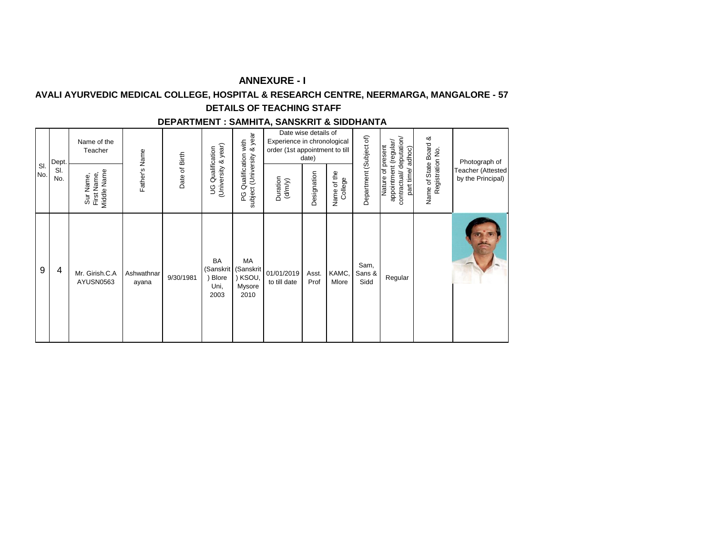## **AVALI AYURVEDIC MEDICAL COLLEGE, HOSPITAL & RESEARCH CENTRE, NEERMARGA, MANGALORE - 57**

# **DETAILS OF TEACHING STAFF**

#### **DEPARTMENT : SAMHITA, SANSKRIT & SIDDHANTA**

| SI. | Dept.      | Name of the<br>Teacher                  |                     |               |                                                | & year<br>with                             | Date wise details of<br>Experience in chronological<br>order (1st appointment to till | date)         |                           |                         |                                                                                           |                                           | Photograph of                          |
|-----|------------|-----------------------------------------|---------------------|---------------|------------------------------------------------|--------------------------------------------|---------------------------------------------------------------------------------------|---------------|---------------------------|-------------------------|-------------------------------------------------------------------------------------------|-------------------------------------------|----------------------------------------|
| No. | SI.<br>No. | Middle Name<br>First Name,<br>Sur Name, | Father's Name       | Date of Birth | (University & year)<br><b>UG</b> Qualification | Qualification<br>subject (University<br>ဥ  | Duration<br>(d/m/y)                                                                   | Designation   | of the<br>College<br>Name | Department (Subject of) | contractual/deputation/<br>appointment (regular/<br>Nature of present<br>part time/adhoc) | Name of State Board &<br>Registration No. | Teacher (Attested<br>by the Principal) |
| 9   | 4          | Mr. Girish.C.A<br>AYUSN0563             | Ashwathnar<br>ayana | 9/30/1981     | BA<br>(Sanskrit<br>Blore<br>Uni,<br>2003       | MA<br>(Sanskrit<br>KSOU,<br>Mysore<br>2010 | 01/01/2019<br>to till date                                                            | Asst.<br>Prof | KAMC,<br>Mlore            | Sam,<br>Sans &<br>Sidd  | Regular                                                                                   |                                           |                                        |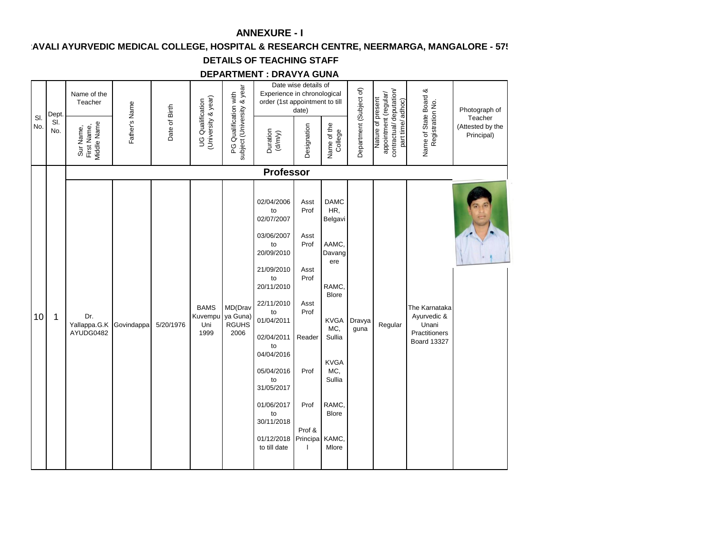AVALI AYURVEDIC MEDICAL COLLEGE, HOSPITAL & RESEARCH CENTRE, NEERMARGA, MANGALORE - 57!

# **DETAILS OF TEACHING STAFF**

#### **DEPARTMENT : DRAVYA GUNA**

|            | Dept.      | Name of the<br>Teacher                  |               |               |                                         |                                                     | Experience in chronological<br>order (1st appointment to till                                                                                                                                                                                                            | Date wise details of<br>date)                                                                                                |                                                                                                                                                                                                   |                         |                                                                                           |                                                                              | Photograph of                             |
|------------|------------|-----------------------------------------|---------------|---------------|-----------------------------------------|-----------------------------------------------------|--------------------------------------------------------------------------------------------------------------------------------------------------------------------------------------------------------------------------------------------------------------------------|------------------------------------------------------------------------------------------------------------------------------|---------------------------------------------------------------------------------------------------------------------------------------------------------------------------------------------------|-------------------------|-------------------------------------------------------------------------------------------|------------------------------------------------------------------------------|-------------------------------------------|
| SI.<br>No. | SI.<br>No. | First Name,<br>Middle Name<br>Sur Name, | Father's Name | Date of Birth | (University & year)<br>UG Qualification | subject (University & year<br>PG Qualification with | Duration<br>$(d/m/y)$                                                                                                                                                                                                                                                    | Designation                                                                                                                  | Name of the<br>College                                                                                                                                                                            | Department (Subject of) | contractual/deputation/<br>appointment (regular/<br>Nature of present<br>part time/adhoc) | Name of State Board &<br>Registration No.                                    | Teacher<br>(Attested by the<br>Principal) |
|            |            |                                         |               |               |                                         |                                                     | <b>Professor</b>                                                                                                                                                                                                                                                         |                                                                                                                              |                                                                                                                                                                                                   |                         |                                                                                           |                                                                              |                                           |
| 10         | 1          | Dr.<br>Yallappa.G.K<br>AYUDG0482        | Govindappa    | 5/20/1976     | <b>BAMS</b><br>Kuvempu<br>Uni<br>1999   | MD(Drav<br>ya Guna)<br><b>RGUHS</b><br>2006         | 02/04/2006<br>to<br>02/07/2007<br>03/06/2007<br>to<br>20/09/2010<br>21/09/2010<br>to<br>20/11/2010<br>22/11/2010<br>to<br>01/04/2011<br>02/04/2011<br>to<br>04/04/2016<br>05/04/2016<br>to<br>31/05/2017<br>01/06/2017<br>to<br>30/11/2018<br>01/12/2018<br>to till date | Asst<br>Prof<br>Asst<br>Prof<br>Asst<br>Prof<br>Asst<br>Prof<br>Reader<br>Prof<br>Prof<br>Prof &<br>Principa<br>$\mathbf{I}$ | <b>DAMC</b><br>HR,<br>Belgavi<br>AAMC,<br>Davang<br>ere<br>RAMC,<br><b>Blore</b><br><b>KVGA</b><br>MC,<br>Sullia<br><b>KVGA</b><br>MC.<br>Sullia<br><b>RAMC</b><br><b>Blore</b><br>KAMC,<br>Mlore | Dravya<br>guna          | Regular                                                                                   | The Karnataka<br>Ayurvedic &<br>Unani<br>Practitioners<br><b>Board 13327</b> |                                           |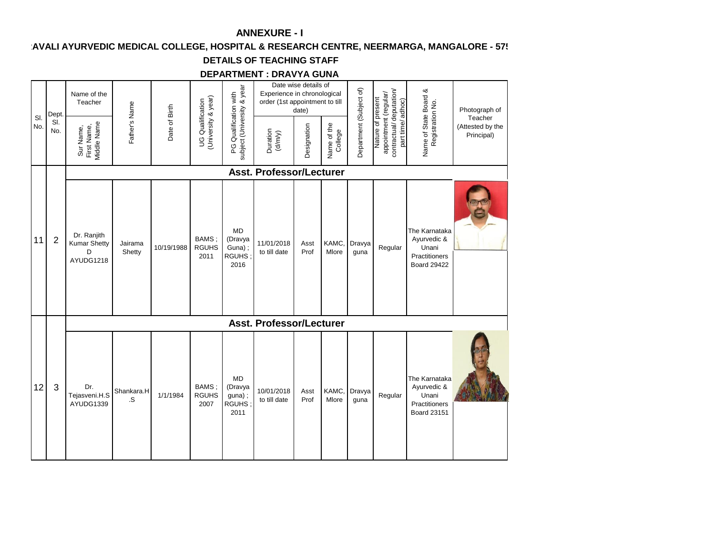## AVALI AYURVEDIC MEDICAL COLLEGE, HOSPITAL & RESEARCH CENTRE, NEERMARGA, MANGALORE - 57!

# **DETAILS OF TEACHING STAFF**

#### **DEPARTMENT : DRAVYA GUNA**

|            | Dept.          | Name of the<br>Teacher                               |                   |               |                                         |                                                        | Experience in chronological<br>order (1st appointment to till | Date wise details of<br>date) |                        |                         |                                                                                           |                                                                              | Photograph of                             |
|------------|----------------|------------------------------------------------------|-------------------|---------------|-----------------------------------------|--------------------------------------------------------|---------------------------------------------------------------|-------------------------------|------------------------|-------------------------|-------------------------------------------------------------------------------------------|------------------------------------------------------------------------------|-------------------------------------------|
| SI.<br>No. | SI.<br>No.     | Sur Name,<br>First Name,<br>Middle Name              | Father's Name     | Date of Birth | UG Qualification<br>(University & year) | subject (University & year<br>PG Qualification with    | Duration<br>(d/m/y)                                           | Designation                   | Name of the<br>College | Department (Subject of) | contractual/deputation/<br>appointment (regular/<br>Nature of present<br>part time/adhoc) | Name of State Board &<br>Registration No.                                    | Teacher<br>(Attested by the<br>Principal) |
|            |                |                                                      |                   |               |                                         |                                                        | <b>Asst. Professor/Lecturer</b>                               |                               |                        |                         |                                                                                           |                                                                              |                                           |
| 11         | $\overline{2}$ | Dr. Ranjith<br><b>Kumar Shetty</b><br>D<br>AYUDG1218 | Jairama<br>Shetty | 10/19/1988    | BAMS;<br><b>RGUHS</b><br>2011           | <b>MD</b><br>(Dravya<br>Guna);<br><b>RGUHS</b><br>2016 | 11/01/2018<br>to till date                                    | Asst<br>Prof                  | KAMC,<br>Mlore         | Dravya<br>guna          | Regular                                                                                   | The Karnataka<br>Ayurvedic &<br>Unani<br>Practitioners<br><b>Board 29422</b> |                                           |
|            |                |                                                      |                   |               |                                         |                                                        | <b>Asst. Professor/Lecturer</b>                               |                               |                        |                         |                                                                                           |                                                                              |                                           |
| 12         | 3              | Dr.<br>Tejasveni.H.S<br>AYUDG1339                    | Shankara.H<br>.S  | 1/1/1984      | BAMS;<br><b>RGUHS</b><br>2007           | <b>MD</b><br>(Dravya<br>guna);<br>RGUHS:<br>2011       | 10/01/2018<br>to till date                                    | Asst<br>Prof                  | KAMC,<br>Mlore         | Dravya<br>guna          | Regular                                                                                   | The Karnataka<br>Ayurvedic &<br>Unani<br>Practitioners<br><b>Board 23151</b> |                                           |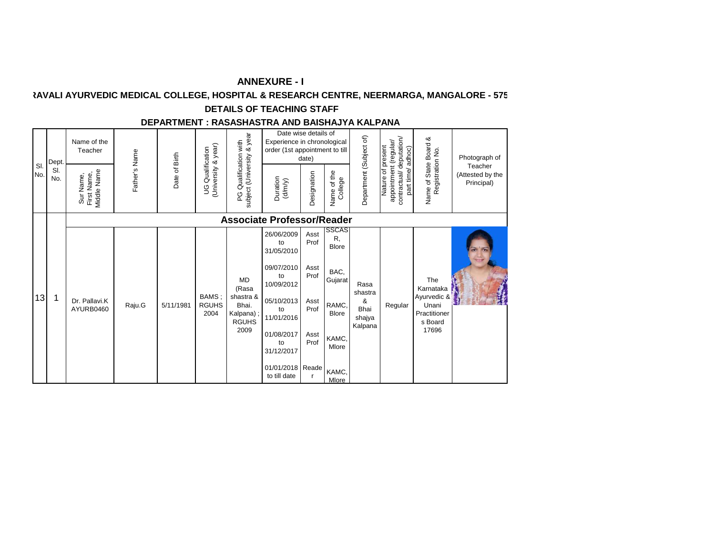# **KAVALI AYURVEDIC MEDICAL COLLEGE, HOSPITAL & RESEARCH CENTRE, NEERMARGA, MANGALORE - 575**

#### **DETAILS OF TEACHING STAFF**

#### **DEPARTMENT : RASASHASTRA AND BAISHAJYA KALPANA**

| SI.<br>No. | Dept.<br>SI.<br>No. | Name of the<br>Teacher<br>Middle Name<br>First Name,<br>Sur Name, | Father's Name | Date of Birth | University & year)<br><b>UG</b> Qualification | & year<br>with<br>Qualification<br>subject (University<br>ဥ            | Date wise details of<br>Experience in chronological<br>order (1st appointment to till<br>Duration<br>(d/m/y)                                                             | date)<br>Designation                                         | Name of the<br>College                                                                                      | Department (Subject of)                           | contractual/deputation/<br>appointment (regular/<br>Nature of present<br>adhoc)<br>part time/ | Name of State Board &<br>Registration No.                                    | Photograph of<br>Teacher<br>(Attested by the<br>Principal) |
|------------|---------------------|-------------------------------------------------------------------|---------------|---------------|-----------------------------------------------|------------------------------------------------------------------------|--------------------------------------------------------------------------------------------------------------------------------------------------------------------------|--------------------------------------------------------------|-------------------------------------------------------------------------------------------------------------|---------------------------------------------------|-----------------------------------------------------------------------------------------------|------------------------------------------------------------------------------|------------------------------------------------------------|
|            |                     |                                                                   |               |               |                                               |                                                                        | <b>Associate Professor/Reader</b>                                                                                                                                        |                                                              |                                                                                                             |                                                   |                                                                                               |                                                                              |                                                            |
| 13         | 1                   | Dr. Pallavi.K<br>AYURB0460                                        | Raju.G        | 5/11/1981     | BAMS;<br><b>RGUHS</b><br>2004                 | MD<br>(Rasa<br>shastra &<br>Bhai.<br>Kalpana);<br><b>RGUHS</b><br>2009 | 26/06/2009<br>to<br>31/05/2010<br>09/07/2010<br>to<br>10/09/2012<br>05/10/2013<br>to<br>11/01/2016<br>01/08/2017<br>to<br>31/12/2017<br>01/01/2018 Reade<br>to till date | Asst<br>Prof<br>Asst<br>Prof<br>Asst<br>Prof<br>Asst<br>Prof | SSCAS<br>R,<br><b>Blore</b><br>BAC,<br>Gujarat<br>RAMC,<br><b>Blore</b><br>KAMC,<br>Mlore<br>KAMC,<br>Mlore | Rasa<br>shastra<br>&<br>Bhai<br>shajya<br>Kalpana | Regular                                                                                       | The<br>Karnataka<br>Ayurvedic &<br>Unani<br>Practitioner<br>s Board<br>17696 |                                                            |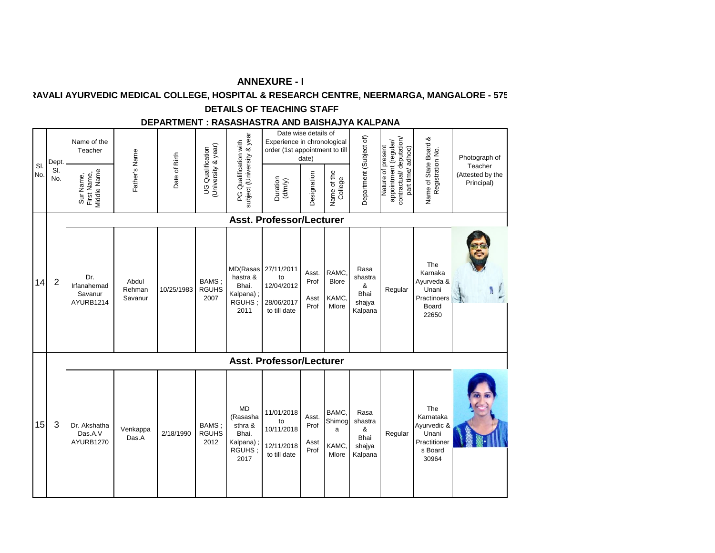# **KAVALI AYURVEDIC MEDICAL COLLEGE, HOSPITAL & RESEARCH CENTRE, NEERMARGA, MANGALORE - 575**

#### **DETAILS OF TEACHING STAFF**

#### **DEPARTMENT : RASASHASTRA AND BAISHAJYA KALPANA**

| SI. |    | Dept.          | Name of the<br>Teacher                     |                            |               |                                                |                                                                          | Date wise details of<br>Experience in chronological<br>order (1st appointment to till | date)                         |                                         |                                                   |                                                                                            |                                                                              | Photograph of<br>Teacher       |
|-----|----|----------------|--------------------------------------------|----------------------------|---------------|------------------------------------------------|--------------------------------------------------------------------------|---------------------------------------------------------------------------------------|-------------------------------|-----------------------------------------|---------------------------------------------------|--------------------------------------------------------------------------------------------|------------------------------------------------------------------------------|--------------------------------|
| No. |    | SI.<br>No.     | Middle Name<br>Sur Name,<br>First Name,    | Father's Name              | Date of Birth | (University & year)<br><b>UG Qualification</b> | subject (University & year<br>PG Qualification with                      | Duration<br>$(d/m/y)$                                                                 | Designation                   | Name of the<br>College                  | Department (Subject of)                           | appointment (regular/<br>contractual/ deputation/<br>Nature of present<br>part time/adhoc) | Name of State Board &<br>Registration No.                                    | (Attested by the<br>Principal) |
|     |    |                |                                            |                            |               |                                                |                                                                          | <b>Asst. Professor/Lecturer</b>                                                       |                               |                                         |                                                   |                                                                                            |                                                                              |                                |
|     | 14 | $\overline{2}$ | Dr.<br>Irfanahemad<br>Savanur<br>AYURB1214 | Abdul<br>Rehman<br>Savanur | 10/25/1983    | BAMS;<br><b>RGUHS</b><br>2007                  | MD(Rasas<br>hastra &<br>Bhai.<br>Kalpana);<br>RGUHS;<br>2011             | 27/11/2011<br>to<br>12/04/2012<br>28/06/2017<br>to till date                          | Asst.<br>Prof<br>Asst<br>Prof | RAMC.<br><b>Blore</b><br>KAMC,<br>Mlore | Rasa<br>shastra<br>&<br>Bhai<br>shajya<br>Kalpana | Regular                                                                                    | The<br>Karnaka<br>Ayurveda &<br>Unani<br>Practinoers<br>Board<br>22650       |                                |
|     |    |                |                                            |                            |               |                                                |                                                                          | <b>Asst. Professor/Lecturer</b>                                                       |                               |                                         |                                                   |                                                                                            |                                                                              |                                |
|     | 15 | 3              | Dr. Akshatha<br>Das.A.V<br>AYURB1270       | Venkappa<br>Das.A          | 2/18/1990     | BAMS:<br><b>RGUHS</b><br>2012                  | <b>MD</b><br>(Rasasha<br>sthra &<br>Bhai.<br>Kalpana);<br>RGUHS;<br>2017 | 11/01/2018<br>to<br>10/11/2018<br>12/11/2018<br>to till date                          | Asst.<br>Prof<br>Asst<br>Prof | BAMC.<br>Shimog<br>a<br>KAMC.<br>Mlore  | Rasa<br>shastra<br>&<br>Bhai<br>shajya<br>Kalpana | Regular                                                                                    | The<br>Karnataka<br>Ayurvedic &<br>Unani<br>Practitioner<br>s Board<br>30964 |                                |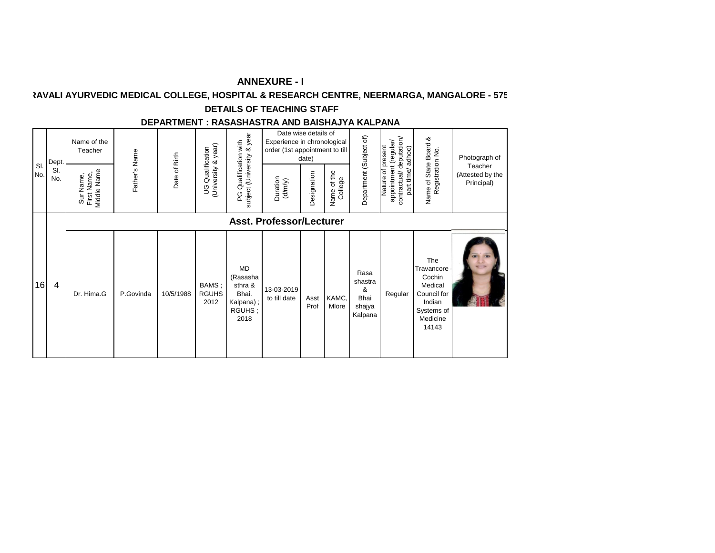# **KAVALI AYURVEDIC MEDICAL COLLEGE, HOSPITAL & RESEARCH CENTRE, NEERMARGA, MANGALORE - 575**

#### **DETAILS OF TEACHING STAFF**

#### **DEPARTMENT : RASASHASTRA AND BAISHAJYA KALPANA**

| SI.<br>No. | Dept.<br>SI.<br>No. | Name of the<br>Teacher<br>Middle Name<br>First Name,<br>Sur Name, | Father's Name | Date of Birth | (University & year)<br><b>UG</b> Qualification | & year<br>with<br>Qualification<br>subject (University<br>ပ္စ            | Date wise details of<br>Experience in chronological<br>order (1st appointment to till<br>Duration<br>$(d/m/y)$ | date)<br>Designation | Name of the<br>College | Department (Subject of)                           | contractual/deputation/<br>appointment (regular/<br>Nature of present<br>adhoc)<br>part time/ | Name of State Board &<br>Registration No.                                                          | Photograph of<br>Teacher<br>(Attested by the<br>Principal) |
|------------|---------------------|-------------------------------------------------------------------|---------------|---------------|------------------------------------------------|--------------------------------------------------------------------------|----------------------------------------------------------------------------------------------------------------|----------------------|------------------------|---------------------------------------------------|-----------------------------------------------------------------------------------------------|----------------------------------------------------------------------------------------------------|------------------------------------------------------------|
| 16         | 4                   | Dr. Hima.G                                                        | P.Govinda     | 10/5/1988     | BAMS;<br><b>RGUHS</b><br>2012                  | <b>MD</b><br>(Rasasha<br>sthra &<br>Bhai.<br>Kalpana);<br>RGUHS;<br>2018 | <b>Asst. Professor/Lecturer</b><br>13-03-2019<br>to till date                                                  | Asst<br>Prof         | KAMC,<br>Mlore         | Rasa<br>shastra<br>&<br>Bhai<br>shajya<br>Kalpana | Regular                                                                                       | The<br>Travancore<br>Cochin<br>Medical<br>Council for<br>Indian<br>Systems of<br>Medicine<br>14143 |                                                            |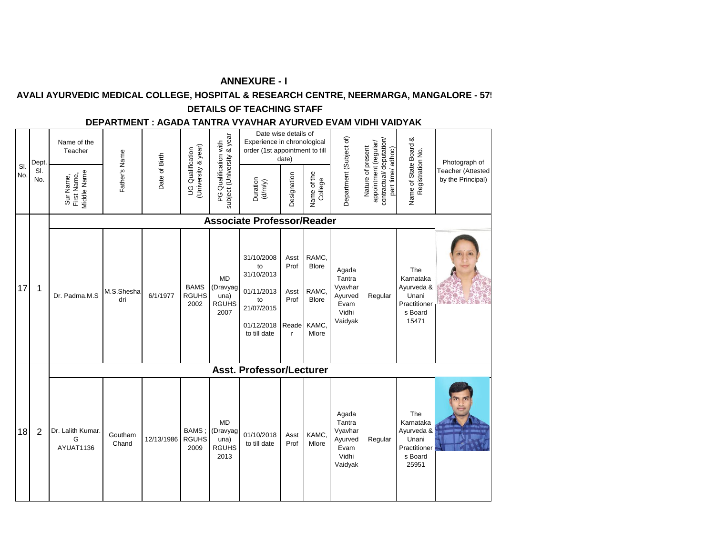## **AVALI AYURVEDIC MEDICAL COLLEGE, HOSPITAL & RESEARCH CENTRE, NEERMARGA, MANGALORE - 57:**

## **DETAILS OF TEACHING STAFF**

#### **DEPARTMENT : AGADA TANTRA VYAVHAR AYURVED EVAM VIDHI VAIDYAK**

| SI. | Dept.<br>SI. | Name of the<br>Teacher                  | Father's Name     | Date of Birth | (University & year)<br><b>UG</b> Qualification | subject (University & year<br>PG Qualification with   | Date wise details of<br>Experience in chronological<br>order (1st appointment to till          | date)                                                 |                                                                  | Department (Subject of)                                           | contractual/deputation/<br>appointment (regular/<br>Nature of present<br>part time/adhoc) | Name of State Board &<br>Registration No.                                   | Photograph of<br><b>Feacher (Attested</b> |
|-----|--------------|-----------------------------------------|-------------------|---------------|------------------------------------------------|-------------------------------------------------------|------------------------------------------------------------------------------------------------|-------------------------------------------------------|------------------------------------------------------------------|-------------------------------------------------------------------|-------------------------------------------------------------------------------------------|-----------------------------------------------------------------------------|-------------------------------------------|
| No. | No.          | Viddle Name<br>Sur Name,<br>First Name, |                   |               |                                                |                                                       | Duration<br>$(d/my)$                                                                           | Designation                                           | Name of the<br>College                                           |                                                                   |                                                                                           |                                                                             | by the Principal)                         |
|     |              |                                         |                   |               |                                                |                                                       | <b>Associate Professor/Reader</b>                                                              |                                                       |                                                                  |                                                                   |                                                                                           |                                                                             |                                           |
| 17  | 1            | Dr. Padma.M.S                           | M.S.Shesha<br>dri | 6/1/1977      | <b>BAMS</b><br><b>RGUHS</b><br>2002            | <b>MD</b><br>(Dravyag<br>una)<br><b>RGUHS</b><br>2007 | 31/10/2008<br>to<br>31/10/2013<br>01/11/2013<br>to<br>21/07/2015<br>01/12/2018<br>to till date | Asst<br>Prof<br>Asst<br>Prof<br>Reade<br>$\mathsf{r}$ | RAMC,<br><b>Blore</b><br>RAMC,<br><b>Blore</b><br>KAMC,<br>Mlore | Agada<br>Tantra<br>Vyavhar<br>Ayurved<br>Evam<br>Vidhi<br>Vaidyak | Regular                                                                                   | The<br>Karnataka<br>Ayurveda &<br>Unani<br>Practitioner<br>s Board<br>15471 | $\sim$                                    |
|     |              |                                         |                   |               |                                                |                                                       | <b>Asst. Professor/Lecturer</b>                                                                |                                                       |                                                                  |                                                                   |                                                                                           |                                                                             |                                           |
| 18  | 2            | Dr. Lalith Kumar.<br>G<br>AYUAT1136     | Goutham<br>Chand  | 12/13/1986    | BAMS:<br><b>RGUHS</b><br>2009                  | <b>MD</b><br>(Dravyag<br>una)<br><b>RGUHS</b><br>2013 | 01/10/2018<br>to till date                                                                     | Asst<br>Prof                                          | KAMC.<br>Mlore                                                   | Agada<br>Tantra<br>Vyavhar<br>Ayurved<br>Evam<br>Vidhi<br>Vaidyak | Regular                                                                                   | The<br>Karnataka<br>Ayurveda &<br>Unani<br>Practitioner<br>s Board<br>25951 |                                           |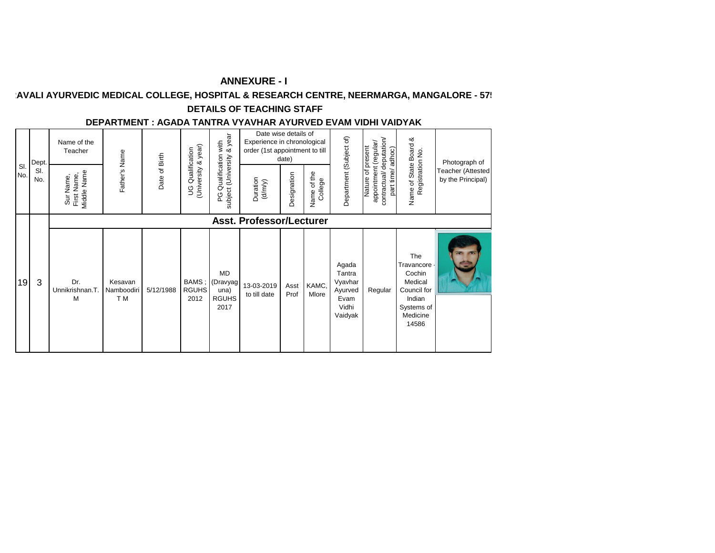## **AVALI AYURVEDIC MEDICAL COLLEGE, HOSPITAL & RESEARCH CENTRE, NEERMARGA, MANGALORE - 57!**

## **DETAILS OF TEACHING STAFF**

#### **DEPARTMENT : AGADA TANTRA VYAVHAR AYURVED EVAM VIDHI VAIDYAK**

| SI.<br>No. |    | Dept.<br>SI.<br>No. | Name of the<br>Teacher<br>Middle Name<br>First Name,<br>Sur Name, | Father's Name                           | Date of Birth | (University & year)<br><b>UG</b> Qualification | year<br>: Qualification with<br>ct (University & yea<br>subject (University<br>ပ္ပ | Date wise details of<br>Experience in chronological<br>order (1st appointment to till<br>Duration<br>$(d'm/y)$ | date)<br>Designation | of the<br>College<br>Name | Department (Subject of)                                           | contractual/deputation/<br>appointment (regular/<br>Nature of present<br>adhoc)<br>part time/ | Name of State Board &<br>Registration No.                                                          | Photograph of<br>Teacher (Attested<br>by the Principal) |
|------------|----|---------------------|-------------------------------------------------------------------|-----------------------------------------|---------------|------------------------------------------------|------------------------------------------------------------------------------------|----------------------------------------------------------------------------------------------------------------|----------------------|---------------------------|-------------------------------------------------------------------|-----------------------------------------------------------------------------------------------|----------------------------------------------------------------------------------------------------|---------------------------------------------------------|
|            |    |                     |                                                                   |                                         |               |                                                |                                                                                    | <b>Asst. Professor/Lecturer</b>                                                                                |                      |                           |                                                                   |                                                                                               |                                                                                                    |                                                         |
|            | 19 | 3                   | Dr.<br>Unnikrishnan.T.<br>M                                       | Kesavan<br>Namboodiri<br>T <sub>M</sub> | 5/12/1988     | BAMS;<br><b>RGUHS</b><br>2012                  | MD<br>(Dravyag<br>una)<br><b>RGUHS</b><br>2017                                     | 13-03-2019<br>to till date                                                                                     | Asst<br>Prof         | KAMC,<br>Mlore            | Agada<br>Tantra<br>Vyavhar<br>Ayurved<br>Evam<br>Vidhi<br>Vaidyak | Regular                                                                                       | The<br>Travancore<br>Cochin<br>Medical<br>Council for<br>Indian<br>Systems of<br>Medicine<br>14586 |                                                         |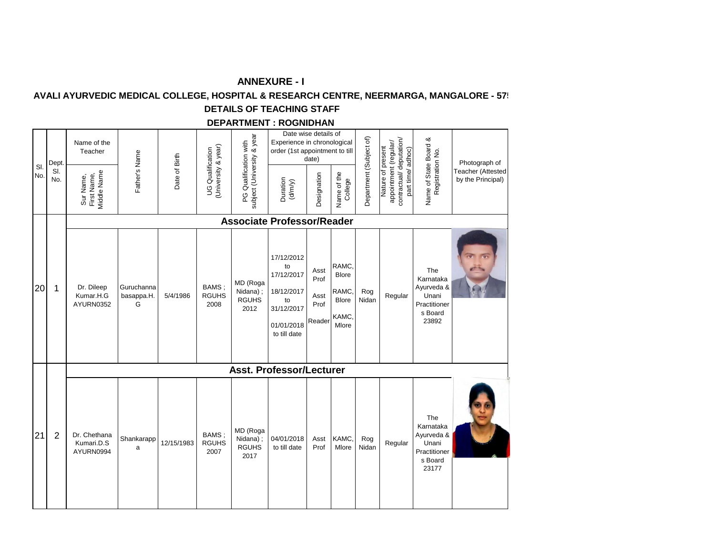## AVALI AYURVEDIC MEDICAL COLLEGE, HOSPITAL & RESEARCH CENTRE, NEERMARGA, MANGALORE - 57!

# **DETAILS OF TEACHING STAFF**

#### **DEPARTMENT : ROGNIDHAN**

| SI.<br>No. | Dept.<br>SI.<br>No. | Name of the<br>Teacher<br>Sur Name,<br>First Name,<br>Middle Name | Father's Name                 | Date of Birth | University & year)<br><b>UG</b> Qualification | subject (University & year<br>PG Qualification with | Date wise details of<br>Experience in chronological<br>order (1st appointment to till<br>Duration<br>(d/m/y) | date)<br>Designation                   | Name of the<br>College                                    | Department (Subject of) | appointment (regular/<br>contractual/ deputation/<br>Nature of present<br>part time/adhoc) | Name of State Board &<br>Registration No.                                   | Photograph of<br><b>Teacher (Attested</b><br>by the Principal) |
|------------|---------------------|-------------------------------------------------------------------|-------------------------------|---------------|-----------------------------------------------|-----------------------------------------------------|--------------------------------------------------------------------------------------------------------------|----------------------------------------|-----------------------------------------------------------|-------------------------|--------------------------------------------------------------------------------------------|-----------------------------------------------------------------------------|----------------------------------------------------------------|
|            |                     |                                                                   |                               |               |                                               |                                                     | <b>Associate Professor/Reader</b>                                                                            |                                        |                                                           |                         |                                                                                            |                                                                             |                                                                |
| 20         | 1                   | Dr. Dileep<br>Kumar.H.G<br>AYURN0352                              | Guruchanna<br>basappa.H.<br>G | 5/4/1986      | BAMS;<br><b>RGUHS</b><br>2008                 | MD (Roga<br>Nidana);<br><b>RGUHS</b><br>2012        | 17/12/2012<br>to<br>17/12/2017<br>18/12/2017<br>to<br>31/12/2017<br>01/01/2018<br>to till date               | Asst<br>Prof<br>Asst<br>Prof<br>Reader | RAMC,<br><b>Blore</b><br>RAMC,<br>Blore<br>KAMC,<br>Mlore | Rog<br>Nidan            | Regular                                                                                    | The<br>Karnataka<br>Ayurveda &<br>Unani<br>Practitioner<br>s Board<br>23892 |                                                                |
|            |                     |                                                                   |                               |               |                                               |                                                     | <b>Asst. Professor/Lecturer</b>                                                                              |                                        |                                                           |                         |                                                                                            |                                                                             |                                                                |
| 21         | $\overline{2}$      | Dr. Chethana<br>Kumari.D.S<br>AYURN0994                           | Shankarapp<br>a               | 12/15/1983    | BAMS:<br><b>RGUHS</b><br>2007                 | MD (Roga<br>Nidana);<br><b>RGUHS</b><br>2017        | 04/01/2018<br>to till date                                                                                   | Asst<br>Prof                           | KAMC,<br>Mlore                                            | Rog<br>Nidan            | Regular                                                                                    | The<br>Karnataka<br>Ayurveda &<br>Unani<br>Practitioner<br>s Board<br>23177 |                                                                |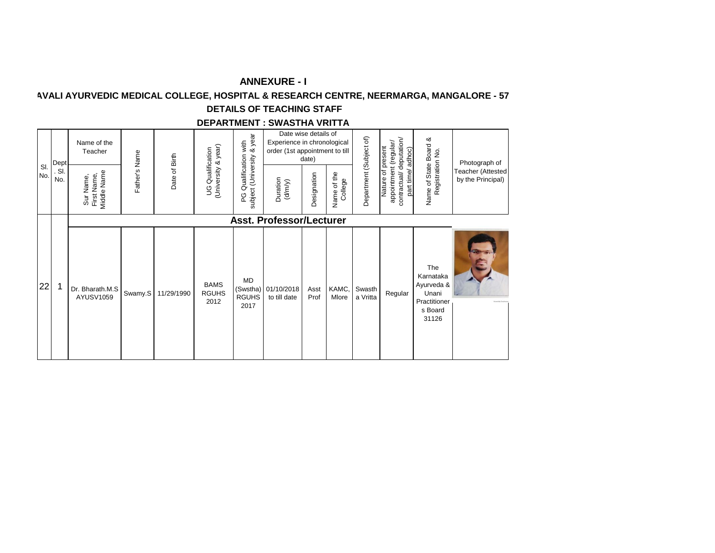## **AVALI AYURVEDIC MEDICAL COLLEGE, HOSPITAL & RESEARCH CENTRE, NEERMARGA, MANGALORE - 57**

## **DETAILS OF TEACHING STAFF**

#### **DEPARTMENT : SWASTHA VRITTA**

| SI.<br>No. | Dept<br>. SI.<br>No. | Name of the<br>Teacher<br>Middle Name<br>First Name,<br>Sur Name, | Father's Name | Date of Birth | (University & year)<br><b>UG Qualification</b> | & year<br>with<br>Qualification<br>subject (University<br>C<br>P | Date wise details of<br>Experience in chronological<br>order (1st appointment to till<br>Duration<br>(d/m/y) | date)<br>Designation | of the<br>Name of th<br>College | Department (Subject of) | contractual/deputation/<br>appointment (regular/<br>of present<br>adhoc)<br>part time/<br>Nature | Name of State Board &<br>Registration No.                                   | Photograph of<br>Teacher (Attested<br>by the Principal) |
|------------|----------------------|-------------------------------------------------------------------|---------------|---------------|------------------------------------------------|------------------------------------------------------------------|--------------------------------------------------------------------------------------------------------------|----------------------|---------------------------------|-------------------------|--------------------------------------------------------------------------------------------------|-----------------------------------------------------------------------------|---------------------------------------------------------|
| 22         | 1                    | Dr. Bharath.M.S<br>AYUSV1059                                      | Swamy.S       | 11/29/1990    | <b>BAMS</b><br><b>RGUHS</b><br>2012            | <b>MD</b><br>(Swstha)<br><b>RGUHS</b><br>2017                    | <b>Asst. Professor/Lecturer</b><br>01/10/2018<br>to till date                                                | Asst<br>Prof         | KAMC,<br>Mlore                  | Swasth<br>a Vritta      | Regular                                                                                          | The<br>Karnataka<br>Ayurveda &<br>Unani<br>Practitioner<br>s Board<br>31126 |                                                         |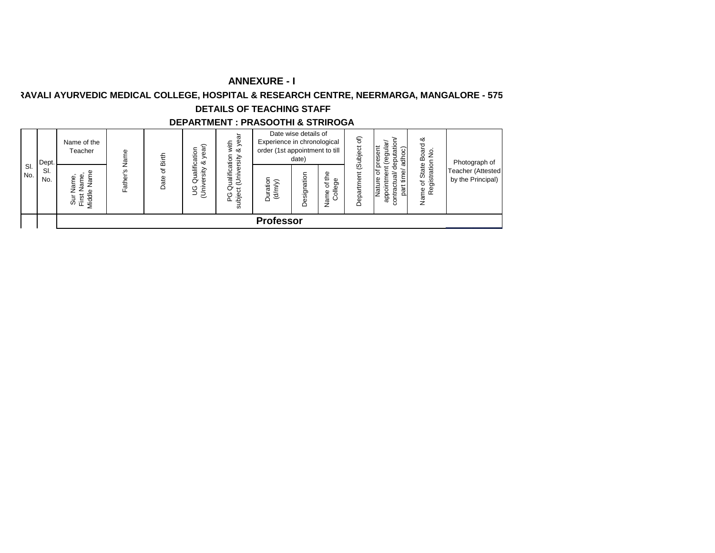## **RAVALI AYURVEDIC MEDICAL COLLEGE, HOSPITAL & RESEARCH CENTRE, NEERMARGA, MANGALORE - 575**

## **DETAILS OF TEACHING STAFF**

#### **DEPARTMENT : PRASOOTHI & STRIROGA** Date wise details of PG Qualification with<br>subject (University & year Nature of present<br>appointment (regular/<br>contractual/ deputation/<br>part time/ adhoc) subject (University & year Department (Subject of) contractual/ deputation/ Name of State Board &<br>Registration No. Name of State Board & Department (Subject of) Name of the Experience in chronological appointment (regular/ UG Qualification<br>(University & year) PG Qualification with (University & year) Nature of present Teacher UG Qualification order (1st appointment to till part time/ adhoc) Registration No.Father's Name Father's Name Date of Birth date) Photograph of Dept. Sl. Teacher (Attested Sur Name,<br>First Name,<br>Middle Name Sl. Name of the<br>College Name of the No. **Designation** No. Duration<br>(d/m/y) by the Principal) **Professor**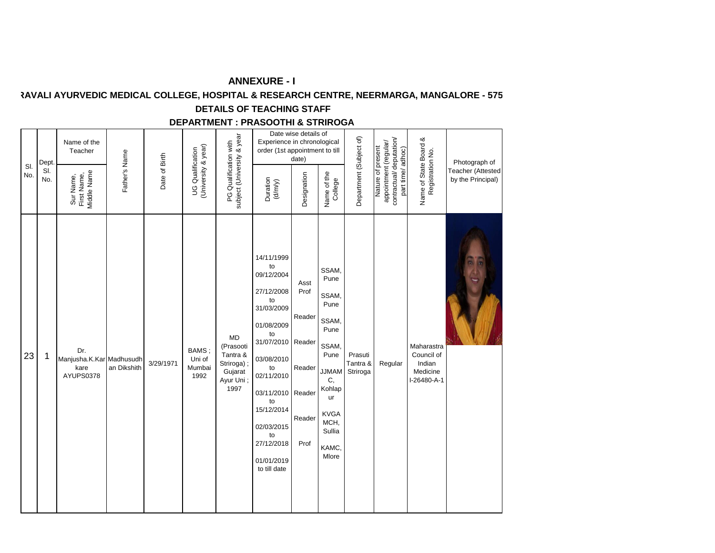# **RAVALI AYURVEDIC MEDICAL COLLEGE, HOSPITAL & RESEARCH CENTRE, NEERMARGA, MANGALORE - 575**

# **DETAILS OF TEACHING STAFF**

## **DEPARTMENT : PRASOOTHI & STRIROGA**

| SI.<br>No. | Dept.<br>SI.<br>No. | Name of the<br>Teacher<br>Middle Name<br>First Name,<br>Sur Name, | Father's Name | Date of Birth | (University & year)<br><b>UG Qualification</b> | subject (University & year<br>PG Qualification with                       | Experience in chronological<br>order (1st appointment to till<br>Duration<br>$(d/my)$                                                                                                                                                                | Date wise details of<br>date)<br>Designation       | Name of the<br>College                                                                                                                                           | Department (Subject of)         | contractual/deputation/<br>appointment (regular/<br>Nature of present<br>part time/adhoc) | Name of State Board &<br>Registration No.                     | Photograph of<br>Teacher (Attested<br>by the Principal) |
|------------|---------------------|-------------------------------------------------------------------|---------------|---------------|------------------------------------------------|---------------------------------------------------------------------------|------------------------------------------------------------------------------------------------------------------------------------------------------------------------------------------------------------------------------------------------------|----------------------------------------------------|------------------------------------------------------------------------------------------------------------------------------------------------------------------|---------------------------------|-------------------------------------------------------------------------------------------|---------------------------------------------------------------|---------------------------------------------------------|
| 23         | 1                   | Dr.<br>Manjusha.K.Kar Madhusudh<br>kare<br>AYUPS0378              | an Dikshith   | 3/29/1971     | BAMS;<br>Uni of<br>Mumbai<br>1992              | MD<br>(Prasooti<br>Tantra &<br>Striroga);<br>Gujarat<br>Ayur Uni;<br>1997 | 14/11/1999<br>to<br>09/12/2004<br>27/12/2008<br>to<br>31/03/2009<br>01/08/2009<br>to<br>31/07/2010 Reader<br>03/08/2010<br>to<br>02/11/2010<br>03/11/2010 Reader<br>to<br>15/12/2014<br>02/03/2015<br>to<br>27/12/2018<br>01/01/2019<br>to till date | Asst<br>Prof<br>Reader<br>Reader<br>Reader<br>Prof | SSAM,<br>Pune<br>SSAM,<br>Pune<br>SSAM,<br>Pune<br>SSAM,<br>Pune<br><b>MAMLL</b><br>C,<br>Kohlap<br><b>ur</b><br><b>KVGA</b><br>MCH,<br>Sullia<br>KAMC,<br>Mlore | Prasuti<br>Tantra &<br>Striroga | Regular                                                                                   | Maharastra<br>Council of<br>Indian<br>Medicine<br>I-26480-A-1 |                                                         |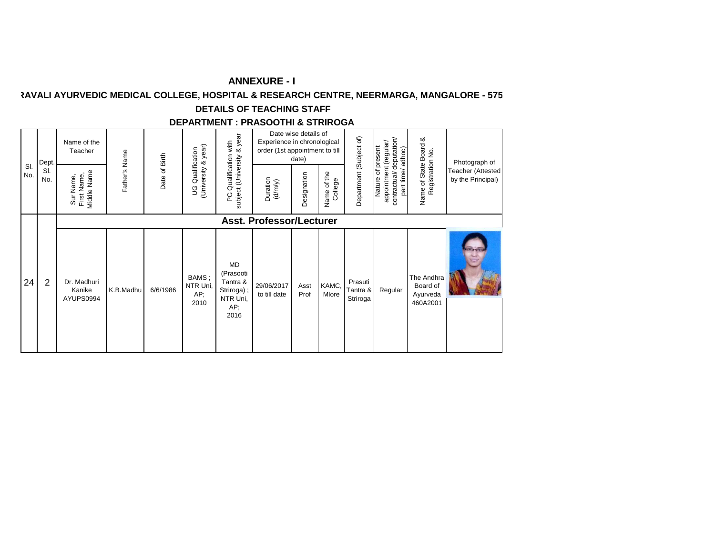# **RAVALI AYURVEDIC MEDICAL COLLEGE, HOSPITAL & RESEARCH CENTRE, NEERMARGA, MANGALORE - 575**

# **DETAILS OF TEACHING STAFF**

## **DEPARTMENT : PRASOOTHI & STRIROGA**

| SI. | Dept.<br>SI.   | Name of the<br>Teacher                  | Father's Name | Date of Birth | (University & year)<br>Qualification | & year<br>Qualification with                                                | Experience in chronological<br>order (1st appointment to till | Date wise details of<br>date) |                           | Department (Subject of)         | contractual/deputation/<br>appointment (regular/<br>Nature of present<br>adhoc) | Name of State Board &<br>Registration No.      | Photograph of<br>Teacher (Attested |
|-----|----------------|-----------------------------------------|---------------|---------------|--------------------------------------|-----------------------------------------------------------------------------|---------------------------------------------------------------|-------------------------------|---------------------------|---------------------------------|---------------------------------------------------------------------------------|------------------------------------------------|------------------------------------|
| No. | No.            | Middle Name<br>First Name,<br>Sur Name, |               |               | S                                    | subject (University<br>ပ္စ                                                  | Duration<br>$(d/m/y)$                                         | Designation                   | of the<br>College<br>Name |                                 | part time/                                                                      |                                                | by the Principal)                  |
|     |                |                                         |               |               |                                      |                                                                             | <b>Asst. Professor/Lecturer</b>                               |                               |                           |                                 |                                                                                 |                                                |                                    |
| 24  | $\overline{2}$ | Dr. Madhuri<br>Kanike<br>AYUPS0994      | K.B.Madhu     | 6/6/1986      | BAMS;<br>NTR Uni,<br>AP;<br>2010     | <b>MD</b><br>(Prasooti<br>Tantra &<br>Striroga);<br>NTR Uni,<br>AP;<br>2016 | 29/06/2017<br>to till date                                    | Asst<br>Prof                  | KAMC,<br>Mlore            | Prasuti<br>Tantra &<br>Striroga | Regular                                                                         | The Andhra<br>Board of<br>Ayurveda<br>460A2001 |                                    |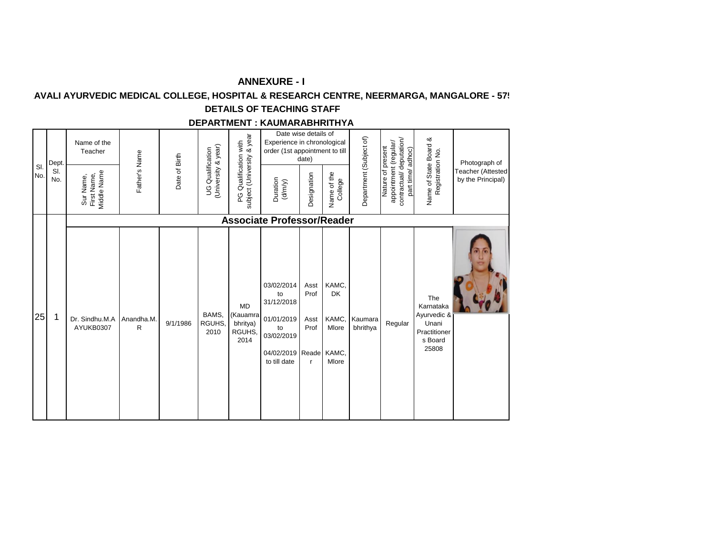## **AVALI AYURVEDIC MEDICAL COLLEGE, HOSPITAL & RESEARCH CENTRE, NEERMARGA, MANGALORE - 57!**

#### **DETAILS OF TEACHING STAFF**

#### **DEPARTMENT : KAUMARABHRITHYA**

|           | Dept.      | Name of the<br>Teacher                  |                |               |                                               |                                                         | Date wise details of<br>Experience in chronological<br>order (1st appointment to till                      | date)                                        |                                               |                         |                                                                                           |                                                                              | Photograph of                          |
|-----------|------------|-----------------------------------------|----------------|---------------|-----------------------------------------------|---------------------------------------------------------|------------------------------------------------------------------------------------------------------------|----------------------------------------------|-----------------------------------------------|-------------------------|-------------------------------------------------------------------------------------------|------------------------------------------------------------------------------|----------------------------------------|
| SI<br>No. | SI.<br>No. | Middle Name<br>Sur Name,<br>First Name, | Father's Name  | Date of Birth | University & year)<br><b>UG Qualification</b> | subject (University & year<br>Qualification with<br>PG. | Duration<br>(d/m/y)                                                                                        | Designation                                  | of the<br>College<br>Name                     | Department (Subject of) | contractual/deputation/<br>appointment (regular/<br>Nature of present<br>part time/adhoc) | Name of State Board &<br>Registration No.                                    | Teacher (Attested<br>by the Principal) |
|           |            |                                         |                |               |                                               |                                                         | <b>Associate Professor/Reader</b>                                                                          |                                              |                                               |                         |                                                                                           |                                                                              |                                        |
| 25        | 1          | Dr. Sindhu.M.A<br>AYUKB0307             | Anandha.M<br>R | 9/1/1986      | BAMS,<br>RGUHS,<br>2010                       | <b>MD</b><br>(Kauamra<br>bhritya)<br>RGUHS.<br>2014     | 03/02/2014<br>to<br>31/12/2018<br>01/01/2019<br>to<br>03/02/2019<br>04/02/2019 Reade KAMC,<br>to till date | Asst<br>Prof<br>Asst<br>Prof<br>$\mathsf{r}$ | KAMC,<br><b>DK</b><br>KAMC,<br>Mlore<br>Mlore | Kaumara<br>bhrithya     | Regular                                                                                   | The<br>Karnataka<br>Ayurvedic &<br>Unani<br>Practitioner<br>s Board<br>25808 |                                        |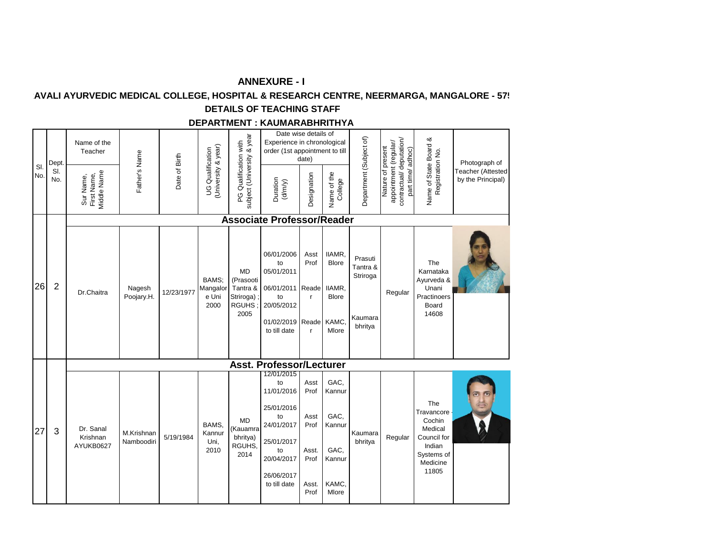## **AVALI AYURVEDIC MEDICAL COLLEGE, HOSPITAL & RESEARCH CENTRE, NEERMARGA, MANGALORE - 57!**

## **DETAILS OF TEACHING STAFF**

#### **DEPARTMENT : KAUMARABHRITHYA**

|            |    | Dept.          | Name of the<br>Teacher                  |                          |               |                                                |                                                                   | Date wise details of<br>Experience in chronological<br>order (1st appointment to till                                            | date)                                                          |                                                                      |                                                       |                                                                                           |                                                                                                      | Photograph of                                 |
|------------|----|----------------|-----------------------------------------|--------------------------|---------------|------------------------------------------------|-------------------------------------------------------------------|----------------------------------------------------------------------------------------------------------------------------------|----------------------------------------------------------------|----------------------------------------------------------------------|-------------------------------------------------------|-------------------------------------------------------------------------------------------|------------------------------------------------------------------------------------------------------|-----------------------------------------------|
| SI.<br>No. |    | SI.<br>No.     | Middle Name<br>First Name,<br>Sur Name, | Father's Name            | Date of Birth | (University & year)<br><b>UG Qualification</b> | subject (University & year<br>PG Qualification with               | Duration<br>(d/m/y)                                                                                                              | Designation                                                    | Name of the<br>College                                               | Department (Subject of)                               | contractual/deputation/<br>appointment (regular/<br>Nature of present<br>part time/adhoc) | Name of State Board &<br>Registration No.                                                            | <b>Teacher (Attested</b><br>by the Principal) |
|            |    |                |                                         |                          |               |                                                |                                                                   | <b>Associate Professor/Reader</b>                                                                                                |                                                                |                                                                      |                                                       |                                                                                           |                                                                                                      |                                               |
|            | 26 | $\overline{2}$ | Dr.Chaitra                              | Nagesh<br>Poojary.H.     | 12/23/1977    | BAMS:<br>Mangalor<br>e Uni<br>2000             | MD<br>(Prasooti<br>Tantra &<br>Striroga);<br><b>RGUHS</b><br>2005 | 06/01/2006<br>to<br>05/01/2011<br>06/01/2011 Reade<br>to<br>20/05/2012<br>01/02/2019 Reade KAMC,<br>to till date                 | Asst<br>Prof<br>$\mathsf{r}$<br>$\mathsf{r}$                   | IIAMR.<br><b>Blore</b><br>IIAMR,<br><b>Blore</b><br>Mlore            | Prasuti<br>Tantra &<br>Striroga<br>Kaumara<br>bhritya | Regular                                                                                   | The<br>Karnataka<br>Ayurveda &<br>Unani<br>Practinoers<br>Board<br>14608                             |                                               |
|            |    |                |                                         |                          |               |                                                |                                                                   | <b>Asst. Professor/Lecturer</b>                                                                                                  |                                                                |                                                                      |                                                       |                                                                                           |                                                                                                      |                                               |
|            | 27 | 3              | Dr. Sanal<br>Krishnan<br>AYUKB0627      | M.Krishnan<br>Namboodiri | 5/19/1984     | BAMS.<br>Kannur<br>Uni,<br>2010                | <b>MD</b><br>(Kauamra<br>bhritya)<br>RGUHS.<br>2014               | 12/01/2015<br>to<br>11/01/2016<br>25/01/2016<br>to<br>24/01/2017<br>25/01/2017<br>to<br>20/04/2017<br>26/06/2017<br>to till date | Asst<br>Prof<br>Asst<br>Prof<br>Asst.<br>Prof<br>Asst.<br>Prof | GAC,<br>Kannur<br>GAC.<br>Kannur<br>GAC,<br>Kannur<br>KAMC,<br>Mlore | Kaumara<br>bhritya                                    | Regular                                                                                   | The<br>Travancore ·<br>Cochin<br>Medical<br>Council for<br>Indian<br>Systems of<br>Medicine<br>11805 |                                               |